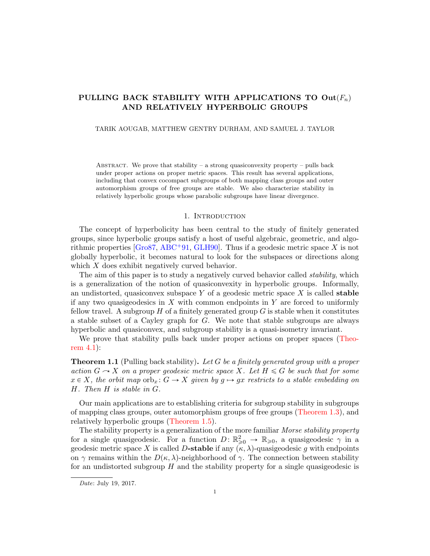# PULLING BACK STABILITY WITH APPLICATIONS TO  $\text{Out}(F_n)$ AND RELATIVELY HYPERBOLIC GROUPS

### TARIK AOUGAB, MATTHEW GENTRY DURHAM, AND SAMUEL J. TAYLOR

ABSTRACT. We prove that stability – a strong quasiconvexity property – pulls back under proper actions on proper metric spaces. This result has several applications, including that convex cocompact subgroups of both mapping class groups and outer automorphism groups of free groups are stable. We also characterize stability in relatively hyperbolic groups whose parabolic subgroups have linear divergence.

# 1. INTRODUCTION

The concept of hyperbolicity has been central to the study of finitely generated groups, since hyperbolic groups satisfy a host of useful algebraic, geometric, and algorithmic properties  $\left[\text{Gro87, ABC}^+91, \text{GLH90}\right]$  $\left[\text{Gro87, ABC}^+91, \text{GLH90}\right]$  $\left[\text{Gro87, ABC}^+91, \text{GLH90}\right]$ . Thus if a geodesic metric space X is not globally hyperbolic, it becomes natural to look for the subspaces or directions along which  $X$  does exhibit negatively curved behavior.

The aim of this paper is to study a negatively curved behavior called *stability*, which is a generalization of the notion of quasiconvexity in hyperbolic groups. Informally, an undistorted, quasiconvex subspace  $Y$  of a geodesic metric space  $X$  is called stable if any two quasigeodesics in  $X$  with common endpoints in  $Y$  are forced to uniformly fellow travel. A subgroup  $H$  of a finitely generated group  $G$  is stable when it constitutes a stable subset of a Cayley graph for G. We note that stable subgroups are always hyperbolic and quasiconvex, and subgroup stability is a quasi-isometry invariant.

We prove that stability pulls back under proper actions on proper spaces [\(Theo](#page-12-0)[rem 4.1\)](#page-12-0):

<span id="page-0-0"></span>**Theorem 1.1** (Pulling back stability). Let G be a finitely generated group with a proper action  $G \to X$  on a proper geodesic metric space X. Let  $H \le G$  be such that for some  $x \in X$ , the orbit map  $\text{orb}_x : G \to X$  given by  $g \mapsto gx$  restricts to a stable embedding on H. Then H is stable in G.

Our main applications are to establishing criteria for subgroup stability in subgroups of mapping class groups, outer automorphism groups of free groups [\(Theorem 1.3\)](#page-2-0), and relatively hyperbolic groups [\(Theorem 1.5\)](#page-2-1).

The stability property is a generalization of the more familiar Morse stability property for a single quasigeodesic. For a function  $D: \mathbb{R}^2_{\geq 0} \to \mathbb{R}_{\geq 0}$ , a quasigeodesic  $\gamma$  in a geodesic metric space X is called D-stable if any  $(\kappa, \lambda)$ -quasigeodesic g with endpoints on  $\gamma$  remains within the  $D(\kappa, \lambda)$ -neighborhood of  $\gamma$ . The connection between stability for an undistorted subgroup  $H$  and the stability property for a single quasigeodesic is

Date: July 19, 2017.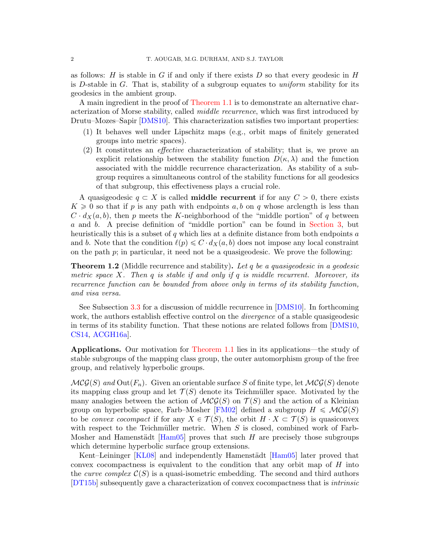as follows: H is stable in G if and only if there exists D so that every geodesic in H is D-stable in  $G$ . That is, stability of a subgroup equates to *uniform* stability for its geodesics in the ambient group.

A main ingredient in the proof of [Theorem 1.1](#page-0-0) is to demonstrate an alternative characterization of Morse stability, called middle recurrence, which was first introduced by Drutu–Mozes–Sapir [\[DMS10\]](#page-19-2). This characterization satisfies two important properties:

- (1) It behaves well under Lipschitz maps (e.g., orbit maps of finitely generated groups into metric spaces).
- (2) It constitutes an effective characterization of stability; that is, we prove an explicit relationship between the stability function  $D(\kappa, \lambda)$  and the function associated with the middle recurrence characterization. As stability of a subgroup requires a simultaneous control of the stability functions for all geodesics of that subgroup, this effectiveness plays a crucial role.

A quasigeodesic  $q \subset X$  is called **middle recurrent** if for any  $C > 0$ , there exists  $K \geq 0$  so that if p is any path with endpoints a, b on q whose arclength is less than  $C \cdot d_X(a, b)$ , then p meets the K-neighborhood of the "middle portion" of q between a and b. A precise definition of "middle portion" can be found in [Section 3,](#page-6-0) but heuristically this is a subset of q which lies at a definite distance from both endpoints a and b. Note that the condition  $\ell(p) \leq C \cdot d_X(a, b)$  does not impose any local constraint on the path  $p$ ; in particular, it need not be a quasigeodesic. We prove the following:

<span id="page-1-0"></span>**Theorem 1.2** (Middle recurrence and stability). Let q be a quasigeodesic in a geodesic metric space X. Then q is stable if and only if q is middle recurrent. Moreover, its recurrence function can be bounded from above only in terms of its stability function, and visa versa.

See Subsection [3.3](#page-11-0) for a discussion of middle recurrence in [\[DMS10\]](#page-19-2). In forthcoming work, the authors establish effective control on the *divergence* of a stable quasigeodesic in terms of its stability function. That these notions are related follows from [\[DMS10,](#page-19-2) [CS14,](#page-19-3) [ACGH16a\]](#page-18-1).

Applications. Our motivation for [Theorem 1.1](#page-0-0) lies in its applications—the study of stable subgroups of the mapping class group, the outer automorphism group of the free group, and relatively hyperbolic groups.

 $MCG(S)$  and  $Out(F_n)$ . Given an orientable surface S of finite type, let  $MCG(S)$  denote its mapping class group and let  $\mathcal{T}(S)$  denote its Teichmüller space. Motivated by the many analogies between the action of  $MCG(S)$  on  $\mathcal{T}(S)$  and the action of a Kleinian group on hyperbolic space, Farb–Mosher [\[FM02\]](#page-19-4) defined a subgroup  $H \leq \mathcal{MCG}(S)$ to be *convex cocompact* if for any  $X \in \mathcal{T}(S)$ , the orbit  $H \cdot X \subset \mathcal{T}(S)$  is quasiconvex with respect to the Teichmüller metric. When  $S$  is closed, combined work of Farb-Mosher and Hamenstädt  $\text{[Ham05]}$  proves that such H are precisely those subgroups which determine hyperbolic surface group extensions.

Kent–Leininger [\[KL08\]](#page-19-6) and independently Hamenstädt [\[Ham05\]](#page-19-5) later proved that convex cocompactness is equivalent to the condition that any orbit map of  $H$  into the *curve complex*  $\mathcal{C}(S)$  is a quasi-isometric embedding. The second and third authors [\[DT15b\]](#page-19-7) subsequently gave a characterization of convex cocompactness that is intrinsic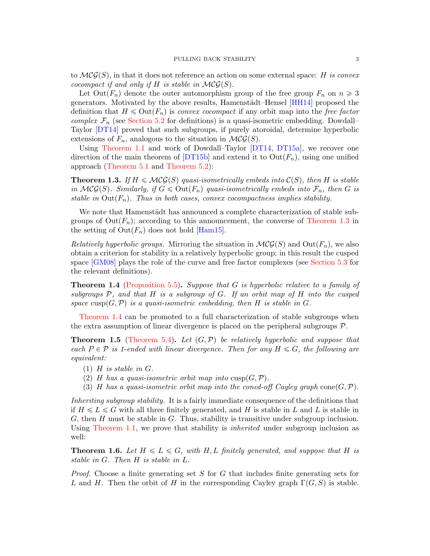to  $\mathcal{MCG}(S)$ , in that it does not reference an action on some external space: H is convex cocompact if and only if H is stable in  $\mathcal{MCG}(S)$ .

Let  $Out(F_n)$  denote the outer automorphism group of the free group  $F_n$  on  $n \geq 3$ generators. Motivated by the above results, Hamenstädt–Hensel [\[HH14\]](#page-19-8) proposed the definition that  $H \leq \text{Out}(F_n)$  is convex cocompact if any orbit map into the free factor *complex*  $\mathcal{F}_n$  (see [Section 5.2](#page-13-0) for definitions) is a quasi-isometric embedding. Dowdall– Taylor [\[DT14\]](#page-19-9) proved that such subgroups, if purely atoroidal, determine hyperbolic extensions of  $F_n$ , analogous to the situation in  $\mathcal{MCG}(S)$ .

Using [Theorem 1.1](#page-0-0) and work of Dowdall–Taylor [\[DT14,](#page-19-9) [DT15a\]](#page-19-10), we recover one direction of the main theorem of [\[DT15b\]](#page-19-7) and extend it to  $Out(F_n)$ , using one unified approach [\(Theorem 5.1](#page-12-1) and [Theorem 5.2\)](#page-13-1):

<span id="page-2-0"></span>**Theorem 1.3.** If  $H \leq \mathcal{MCG}(S)$  quasi-isometrically embeds into  $\mathcal{C}(S)$ , then H is stable in  $\mathcal{MCG}(S)$ . Similarly, if  $G \leq \mathrm{Out}(F_n)$  quasi-isometrically embeds into  $\mathcal{F}_n$ , then G is stable in  $Out(F_n)$ . Thus in both cases, convex cocompactness implies stability.

We note that Hamenstädt has announced a complete characterization of stable subgroups of  $Out(F_n)$ ; according to this announcement, the converse of [Theorem 1.3](#page-2-0) in the setting of  $\text{Out}(F_n)$  does not hold [\[Ham15\]](#page-19-11).

*Relatively hyperbolic groups.* Mirroring the situation in  $\mathcal{MCG}(S)$  and  $Out(F_n)$ , we also obtain a criterion for stability in a relatively hyperbolic group; in this result the cusped space [\[GM08\]](#page-19-12) plays the role of the curve and free factor complexes (see [Section 5.3](#page-14-0) for the relevant definitions).

<span id="page-2-2"></span>Theorem 1.4 [\(Proposition 5.5\)](#page-15-0). Suppose that G is hyperbolic relative to a family of subgroups  $P$ , and that  $H$  is a subgroup of  $G$ . If an orbit map of  $H$  into the cusped space cusp $(G, \mathcal{P})$  is a quasi-isometric embedding, then H is stable in G.

[Theorem 1.4](#page-2-2) can be promoted to a full characterization of stable subgroups when the extra assumption of linear divergence is placed on the peripheral subgroups P.

<span id="page-2-1"></span>**Theorem 1.5** [\(Theorem 5.4\)](#page-15-1). Let  $(G, \mathcal{P})$  be relatively hyperbolic and suppose that each  $P \in \mathcal{P}$  is 1-ended with linear divergence. Then for any  $H \leq G$ , the following are equivalent:

- $(1)$  H is stable in G.
- (2) H has a quasi-isometric orbit map into  $cusp(G, \mathcal{P})$ .
- (3) H has a quasi-isometric orbit map into the coned-off Cayley graph cone  $(G, \mathcal{P})$ .

Inheriting subgroup stability. It is a fairly immediate consequence of the definitions that if  $H \leq L \leq G$  with all three finitely generated, and H is stable in L and L is stable in  $G$ , then H must be stable in  $G$ . Thus, stability is transitive under subgroup inclusion. Using [Theorem 1.1,](#page-0-0) we prove that stability is *inherited* under subgroup inclusion as well:

<span id="page-2-3"></span>**Theorem 1.6.** Let  $H \le L \le G$ , with H, L finitely generated, and suppose that H is stable in G. Then H is stable in L.

*Proof.* Choose a finite generating set S for G that includes finite generating sets for L and H. Then the orbit of H in the corresponding Cayley graph  $\Gamma(G, S)$  is stable.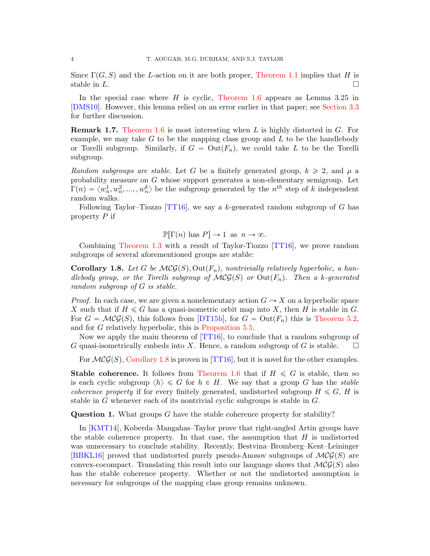Since  $\Gamma(G, S)$  and the L-action on it are both proper, [Theorem 1.1](#page-0-0) implies that H is stable in  $L$ .

In the special case where  $H$  is cyclic, [Theorem 1.6](#page-2-3) appears as Lemma 3.25 in [\[DMS10\]](#page-19-2). However, this lemma relied on an error earlier in that paper; see [Section 3.3](#page-11-0) for further discussion.

**Remark 1.7.** [Theorem 1.6](#page-2-3) is most interesting when L is highly distorted in  $G$ . For example, we may take  $G$  to be the mapping class group and  $L$  to be the handlebody or Torelli subgroup. Similarly, if  $G = Out(F_n)$ , we could take L to be the Torelli subgroup.

Random subgroups are stable. Let G be a finitely generated group,  $k \geq 2$ , and  $\mu$  a probability measure on G whose support generates a non-elementary semigroup. Let  $\Gamma(n) = \langle w_n^1, w_n^2, ..., w_n^k \rangle$  be the subgroup generated by the  $n^{th}$  step of k independent random walks.

Following Taylor–Tiozzo [\[TT16\]](#page-19-13), we say a k-generated random subgroup of G has property  $P$  if

 $\mathbb{P}[\Gamma(n) \text{ has } P] \to 1 \text{ as } n \to \infty.$ 

Combining [Theorem 1.3](#page-2-0) with a result of Taylor-Tiozzo [\[TT16\]](#page-19-13), we prove random subgroups of several aforementioned groups are stable:

<span id="page-3-0"></span>**Corollary 1.8.** Let G be  $\mathcal{MG}(S)$ , Out $(F_n)$ , nontrivially relatively hyperbolic, a handlebody group, or the Torelli subgroup of  $MCG(S)$  or  $Out(F_n)$ . Then a k-generated random subgroup of G is stable.

*Proof.* In each case, we are given a nonelementary action  $G \rightarrow X$  on a hyperbolic space X such that if  $H \le G$  has a quasi-isometric orbit map into X, then H is stable in G. For  $G = \mathcal{MCG}(S)$ , this follows from [\[DT15b\]](#page-19-7), for  $G = \mathrm{Out}(F_n)$  this is [Theorem 5.2,](#page-13-1) and for G relatively hyperbolic, this is [Proposition 5.5.](#page-15-0)

Now we apply the main theorem of [\[TT16\]](#page-19-13), to conclude that a random subgroup of G quasi-isometrically embeds into X. Hence, a random subgroup of G is stable.  $\square$ 

For  $\mathcal{MCG}(S)$ , [Corollary 1.8](#page-3-0) is proven in [\[TT16\]](#page-19-13), but it is novel for the other examples.

**Stable coherence.** It follows from [Theorem 1.6](#page-2-3) that if  $H \leq G$  is stable, then so is each cyclic subgroup  $\langle h \rangle \leq G$  for  $h \in H$ . We say that a group G has the stable *coherence property* if for every finitely generated, undistorted subgroup  $H \leq G$ , H is stable in G whenever each of its nontrivial cyclic subgroups is stable in G.

Question 1. What groups G have the stable coherence property for stability?

In [\[KMT14\]](#page-19-14), Koberda–Mangahas–Taylor prove that right-angled Artin groups have the stable coherence property. In that case, the assumption that  $H$  is undistorted was unnecessary to conclude stability. Recently, Bestvina–Bromberg–Kent–Leininger [\[BBKL16\]](#page-18-2) proved that undistorted purely pseudo-Anosov subgroups of  $\mathcal{MCG}(S)$  are convex-cocompact. Translating this result into our language shows that  $\mathcal{MCG}(S)$  also has the stable coherence property. Whether or not the undistorted assumption is necessary for subgroups of the mapping class group remains unknown.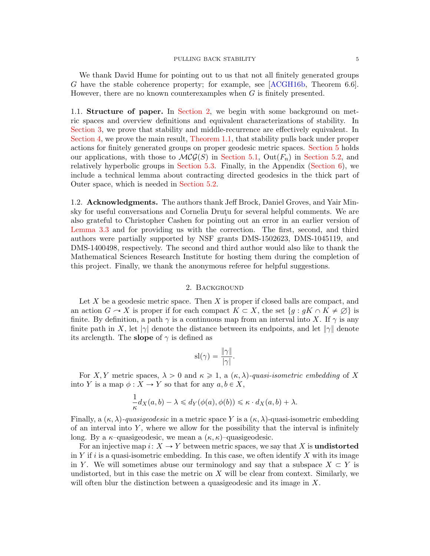#### PULLING BACK STABILITY 5

We thank David Hume for pointing out to us that not all finitely generated groups G have the stable coherence property; for example, see [\[ACGH16b,](#page-18-3) Theorem 6.6]. However, there are no known counterexamples when  $G$  is finitely presented.

1.1. Structure of paper. In [Section 2,](#page-4-0) we begin with some background on metric spaces and overview definitions and equivalent characterizations of stability. In [Section 3,](#page-6-0) we prove that stability and middle-recurrence are effectively equivalent. In [Section 4,](#page-12-2) we prove the main result, [Theorem 1.1,](#page-0-0) that stability pulls back under proper actions for finitely generated groups on proper geodesic metric spaces. [Section 5](#page-12-3) holds our applications, with those to  $\mathcal{MCG}(S)$  in [Section 5.1,](#page-12-4) Out $(F_n)$  in [Section 5.2,](#page-13-0) and relatively hyperbolic groups in [Section 5.3.](#page-14-0) Finally, in the Appendix [\(Section 6\)](#page-17-0), we include a technical lemma about contracting directed geodesics in the thick part of Outer space, which is needed in [Section 5.2.](#page-13-0)

1.2. Acknowledgments. The authors thank Jeff Brock, Daniel Groves, and Yair Minsky for useful conversations and Cornelia Drutu for several helpful comments. We are also grateful to Christopher Cashen for pointing out an error in an earlier version of [Lemma 3.3](#page-7-0) and for providing us with the correction. The first, second, and third authors were partially supported by NSF grants DMS-1502623, DMS-1045119, and DMS-1400498, respectively. The second and third author would also like to thank the Mathematical Sciences Research Institute for hosting them during the completion of this project. Finally, we thank the anonymous referee for helpful suggestions.

## 2. Background

<span id="page-4-0"></span>Let  $X$  be a geodesic metric space. Then  $X$  is proper if closed balls are compact, and an action  $G \to X$  is proper if for each compact  $K \subset X$ , the set  $\{g : gK \cap K \neq \emptyset\}$  is finite. By definition, a path  $\gamma$  is a continuous map from an interval into X. If  $\gamma$  is any finite path in X, let  $|\gamma|$  denote the distance between its endpoints, and let  $\|\gamma\|$  denote its arclength. The **slope** of  $\gamma$  is defined as

$$
\mathrm{sl}(\gamma)=\frac{\|\gamma\|}{|\gamma|}.
$$

For X, Y metric spaces,  $\lambda > 0$  and  $\kappa \geq 1$ , a  $(\kappa, \lambda)$ -quasi-isometric embedding of X into Y is a map  $\phi: X \to Y$  so that for any  $a, b \in X$ ,

$$
\frac{1}{\kappa}d_X(a,b) - \lambda \leq d_Y(\phi(a), \phi(b)) \leq \kappa \cdot d_X(a,b) + \lambda.
$$

Finally, a  $(\kappa, \lambda)$ -quasigeodesic in a metric space Y is a  $(\kappa, \lambda)$ -quasi-isometric embedding of an interval into  $Y$ , where we allow for the possibility that the interval is infinitely long. By a  $\kappa$ –quasigeodesic, we mean a  $(\kappa, \kappa)$ –quasigeodesic.

For an injective map  $i: X \to Y$  between metric spaces, we say that X is **undistorted** in Y if i is a quasi-isometric embedding. In this case, we often identify X with its image in Y. We will sometimes abuse our terminology and say that a subspace  $X \subset Y$  is undistorted, but in this case the metric on  $X$  will be clear from context. Similarly, we will often blur the distinction between a quasigeodesic and its image in X.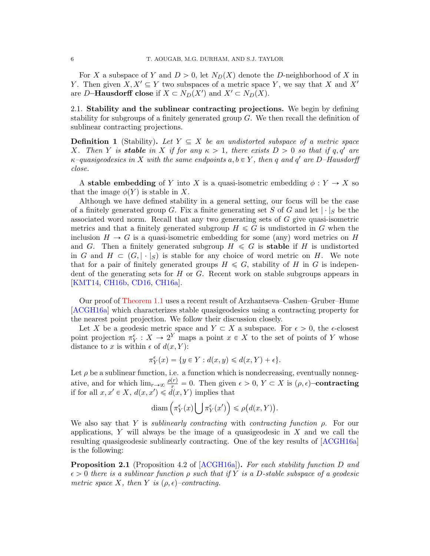For X a subspace of Y and  $D > 0$ , let  $N_D(X)$  denote the D-neighborhood of X in Y. Then given  $X, X' \subseteq Y$  two subspaces of a metric space Y, we say that X and X' are D–**Hausdorff close** if  $X \subset N_D(X')$  and  $X' \subset N_D(X)$ .

2.1. Stability and the sublinear contracting projections. We begin by defining stability for subgroups of a finitely generated group G. We then recall the definition of sublinear contracting projections.

**Definition 1** (Stability). Let  $Y \subseteq X$  be an undistorted subspace of a metric space X. Then Y is **stable** in X if for any  $\kappa > 1$ , there exists  $D > 0$  so that if q, q' are  $\kappa$ -quasigeodesics in X with the same endpoints  $a, b \in Y$ , then q and q' are D-Hausdorff close.

A stable embedding of Y into X is a quasi-isometric embedding  $\phi: Y \to X$  so that the image  $\phi(Y)$  is stable in X.

Although we have defined stability in a general setting, our focus will be the case of a finitely generated group G. Fix a finite generating set S of G and let  $|\cdot|_S$  be the associated word norm. Recall that any two generating sets of G give quasi-isometric metrics and that a finitely generated subgroup  $H \leq G$  is undistorted in G when the inclusion  $H \to G$  is a quasi-isometric embedding for some (any) word metrics on H and G. Then a finitely generated subgroup  $H \leq G$  is **stable** if H is undistorted in G and  $H \subset (G, |\cdot|_S)$  is stable for any choice of word metric on H. We note that for a pair of finitely generated groups  $H \leq G$ , stability of H in G is independent of the generating sets for  $H$  or  $G$ . Recent work on stable subgroups appears in [\[KMT14,](#page-19-14) [CH16b,](#page-19-15) [CD16,](#page-19-16) [CH16a\]](#page-19-17).

Our proof of [Theorem 1.1](#page-0-0) uses a recent result of Arzhantseva–Cashen–Gruber–Hume [\[ACGH16a\]](#page-18-1) which characterizes stable quasigeodesics using a contracting property for the nearest point projection. We follow their discussion closely.

Let X be a geodesic metric space and  $Y \subset X$  a subspace. For  $\epsilon > 0$ , the  $\epsilon$ -closest point projection  $\pi_Y^{\epsilon}: X \to 2^Y$  maps a point  $x \in X$  to the set of points of Y whose distance to x is within  $\epsilon$  of  $d(x, Y)$ :

$$
\pi_Y^\epsilon(x)=\{y\in Y:d(x,y)\leqslant d(x,Y)+\epsilon\}.
$$

Let  $\rho$  be a sublinear function, i.e. a function which is nondecreasing, eventually nonnegative, and for which  $\lim_{r\to\infty}\frac{\rho(r)}{r}=0$ . Then given  $\epsilon>0$ ,  $Y\subset X$  is  $(\rho,\epsilon)$ -contracting if for all  $x, x' \in X$ ,  $d(x, x') \leq d(x, Y)$  implies that<br>diam  $\left(\pi_Y^{\epsilon}(x) \mid \pi_Y^{\epsilon}(x')\right)$ :

$$
\text{diam}\left(\pi_Y^{\epsilon}(x)\bigcup \pi_Y^{\epsilon}(x')\right) \leqslant \rho\big(d(x,Y)\big).
$$

We also say that Y is *sublinearly contracting* with *contracting function*  $\rho$ . For our applications,  $Y$  will always be the image of a quasigeodesic in  $X$  and we call the resulting quasigeodesic sublinearly contracting. One of the key results of [\[ACGH16a\]](#page-18-1) is the following:

<span id="page-5-0"></span>**Proposition 2.1** (Proposition 4.2 of [\[ACGH16a\]](#page-18-1)). For each stability function D and  $\epsilon > 0$  there is a sublinear function  $\rho$  such that if Y is a D-stable subspace of a geodesic metric space X, then Y is  $(\rho, \epsilon)$ -contracting.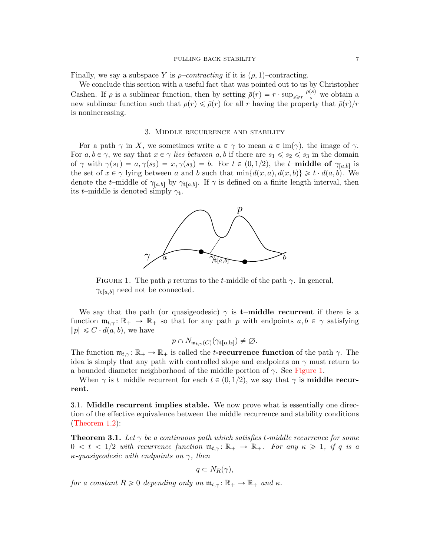#### PULLING BACK STABILITY **7**

Finally, we say a subspace Y is  $\rho$ –contracting if it is  $(\rho, 1)$ –contracting.

We conclude this section with a useful fact that was pointed out to us by Christopher Cashen. If  $\rho$  is a sublinear function, then by setting  $\bar{\rho}(r) = r \cdot \sup_{s \geq r} \frac{\rho(s)}{s}$  we obtain a new sublinear function such that  $\rho(r) \leq \bar{\rho}(r)$  for all r having the property that  $\bar{\rho}(r)/r$ is nonincreasing.

### 3. Middle recurrence and stability

<span id="page-6-0"></span>For a path  $\gamma$  in X, we sometimes write  $a \in \gamma$  to mean  $a \in \text{im}(\gamma)$ , the image of  $\gamma$ . For  $a, b \in \gamma$ , we say that  $x \in \gamma$  lies between  $a, b$  if there are  $s_1 \leq s_2 \leq s_3$  in the domain of  $\gamma$  with  $\gamma(s_1) = a, \gamma(s_2) = x, \gamma(s_3) = b$ . For  $t \in (0, 1/2)$ , the t–**middle of**  $\gamma_{[a,b]}$  is the set of  $x \in \gamma$  lying between a and b such that  $\min\{d(x, a), d(x, b)\} \geq t \cdot d(a, b)$ . We denote the t–middle of  $\gamma_{[a,b]}$  by  $\gamma_{\mathbf{t}[a,b]}$ . If  $\gamma$  is defined on a finite length interval, then its t–middle is denoted simply  $\gamma_t$ .



<span id="page-6-1"></span>FIGURE 1. The path p returns to the t-middle of the path  $\gamma$ . In general,  $\gamma_{t[a,b]}$  need not be connected.

We say that the path (or quasigeodesic)  $\gamma$  is **t–middle recurrent** if there is a function  $\mathfrak{m}_{t,\gamma} : \mathbb{R}_+ \to \mathbb{R}_+$  so that for any path p with endpoints  $a, b \in \gamma$  satisfying  $||p|| \leq C \cdot d(a, b)$ , we have

$$
p \cap N_{\mathfrak{m}_{t,\gamma}(C)}(\gamma_{\mathbf{t}[\mathbf{a},\mathbf{b}]}) \neq \varnothing.
$$

The function  $\mathfrak{m}_{t,\gamma} \colon \mathbb{R}_+ \to \mathbb{R}_+$  is called the *t*-recurrence function of the path  $\gamma$ . The idea is simply that any path with controlled slope and endpoints on  $\gamma$  must return to a bounded diameter neighborhood of the middle portion of  $\gamma$ . See [Figure 1.](#page-6-1)

When  $\gamma$  is t–middle recurrent for each  $t \in (0, 1/2)$ , we say that  $\gamma$  is **middle recur**rent.

3.1. Middle recurrent implies stable. We now prove what is essentially one direction of the effective equivalence between the middle recurrence and stability conditions [\(Theorem 1.2\)](#page-1-0):

<span id="page-6-2"></span>**Theorem 3.1.** Let  $\gamma$  be a continuous path which satisfies t-middle recurrence for some  $0 < t < 1/2$  with recurrence function  $\mathfrak{m}_{t,\gamma} : \mathbb{R}_+ \to \mathbb{R}_+$ . For any  $\kappa \geq 1$ , if q is a  $\kappa$ -quasigeodesic with endpoints on  $\gamma$ , then

$$
q\subset N_R(\gamma),
$$

for a constant  $R \geq 0$  depending only on  $\mathfrak{m}_{t,\gamma} : \mathbb{R}_+ \to \mathbb{R}_+$  and  $\kappa$ .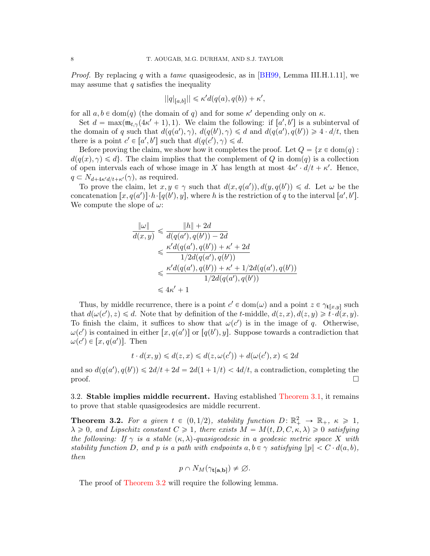*Proof.* By replacing q with a tame quasigeodesic, as in  $|BH99|$ , Lemma III.H.1.11, we may assume that  $q$  satisfies the inequality

$$
||q|_{[a,b]}|| \leq \kappa' d(q(a), q(b)) + \kappa',
$$

for all  $a, b \in \text{dom}(q)$  (the domain of q) and for some  $\kappa'$  depending only on  $\kappa$ .

Set  $d = \max(\mathfrak{m}_{t,\gamma}(4\kappa' + 1), 1)$ . We claim the following: if  $[a', b']$  is a subinterval of the domain of q such that  $d(q(a'), \gamma)$ ,  $d(q(b'), \gamma) \le d$  and  $d(q(a'), q(b')) \ge 4 \cdot d/t$ , then there is a point  $c' \in [a', b']$  such that  $d(q(c'), \gamma) \leq d$ .

Before proving the claim, we show how it completes the proof. Let  $Q = \{x \in \text{dom}(q) :$  $d(q(x), \gamma) \leq d$ . The claim implies that the complement of Q in dom(q) is a collection of open intervals each of whose image in X has length at most  $4\kappa' \cdot d/t + \kappa'$ . Hence,  $q \subset N_{d+4\kappa'd/t+\kappa'}(\gamma)$ , as required.

To prove the claim, let  $x, y \in \gamma$  such that  $d(x, q(a')), d(y, q(b')) \leq d$ . Let  $\omega$  be the concatenation  $[x, q(a')] \cdot h \cdot [q(b'), y]$ , where h is the restriction of q to the interval  $[a', b']$ . We compute the slope of  $\omega$ :

$$
\frac{\|\omega\|}{d(x,y)} \le \frac{\|h\| + 2d}{d(q(a'), q(b')) - 2d}
$$
  

$$
\le \frac{\kappa' d(q(a'), q(b')) + \kappa' + 2d}{1/2d(q(a'), q(b'))}
$$
  

$$
\le \frac{\kappa' d(q(a'), q(b')) + \kappa' + 1/2d(q(a'), q(b'))}{1/2d(q(a'), q(b'))}
$$
  

$$
\le 4\kappa' + 1
$$

Thus, by middle recurrence, there is a point  $c' \in \text{dom}(\omega)$  and a point  $z \in \gamma_{\mathbf{t}[x,y]}$  such that  $d(\omega(c'), z) \le d$ . Note that by definition of the t-middle,  $d(z, x), d(z, y) \ge \dot{t} \cdot d(x, y)$ . To finish the claim, it suffices to show that  $\omega(c')$  is in the image of q. Otherwise,  $\omega(c')$  is contained in either  $[x, q(a')]$  or  $[q(b'), y]$ . Suppose towards a contradiction that  $\omega(c') \in [x, q(a')]$ . Then

$$
t \cdot d(x, y) \leq d(z, x) \leq d(z, \omega(c')) + d(\omega(c'), x) \leq 2d
$$

and so  $d(q(a'), q(b')) \leq 2d/t + 2d = 2d(1 + 1/t) < 4d/t$ , a contradiction, completing the  $\Box$ 

3.2. Stable implies middle recurrent. Having established [Theorem 3.1,](#page-6-2) it remains to prove that stable quasigeodesics are middle recurrent.

<span id="page-7-1"></span>**Theorem 3.2.** For a given  $t \in (0, 1/2)$ , stability function  $D: \mathbb{R}^2_+ \to \mathbb{R}_+$ ,  $\kappa \geq 1$ ,  $\lambda \geq 0$ , and Lipschitz constant  $C \geq 1$ , there exists  $M = M(t, D, C, \kappa, \lambda) \geq 0$  satisfying the following: If  $\gamma$  is a stable  $(\kappa, \lambda)$ -quasigeodesic in a geodesic metric space X with stability function D, and p is a path with endpoints  $a, b \in \gamma$  satisfying  $||p|| < C \cdot d(a, b)$ , then

$$
p \cap N_M(\gamma_{\mathbf{t}[\mathbf{a},\mathbf{b}]}) \neq \varnothing.
$$

<span id="page-7-0"></span>The proof of [Theorem 3.2](#page-7-1) will require the following lemma.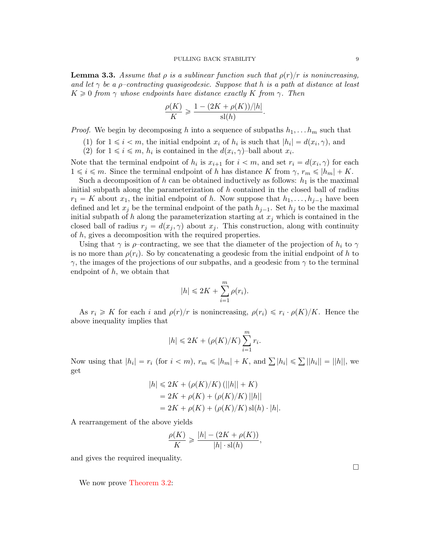**Lemma 3.3.** Assume that  $\rho$  is a sublinear function such that  $\rho(r)/r$  is nonincreasing, and let  $\gamma$  be a *ρ*-contracting quasigeodesic. Suppose that h is a path at distance at least  $K \geq 0$  from  $\gamma$  whose endpoints have distance exactly K from  $\gamma$ . Then

$$
\frac{\rho(K)}{K} \geqslant \frac{1 - (2K + \rho(K))/|h|}{\text{sl}(h)}.
$$

*Proof.* We begin by decomposing h into a sequence of subpaths  $h_1, \ldots, h_m$  such that

- (1) for  $1 \leq i \leq m$ , the initial endpoint  $x_i$  of  $h_i$  is such that  $|h_i| = d(x_i, \gamma)$ , and
- (2) for  $1 \leq i \leq m$ ,  $h_i$  is contained in the  $d(x_i, \gamma)$ -ball about  $x_i$ .

Note that the terminal endpoint of  $h_i$  is  $x_{i+1}$  for  $i < m$ , and set  $r_i = d(x_i, \gamma)$  for each  $1 \leq i \leq m$ . Since the terminal endpoint of h has distance K from  $\gamma$ ,  $r_m \leq |h_m| + K$ .

Such a decomposition of h can be obtained inductively as follows:  $h_1$  is the maximal initial subpath along the parameterization of h contained in the closed ball of radius  $r_1 = K$  about  $x_1$ , the initial endpoint of h. Now suppose that  $h_1, \ldots, h_{j-1}$  have been defined and let  $x_j$  be the terminal endpoint of the path  $h_{j-1}$ . Set  $h_j$  to be the maximal initial subpath of h along the parameterization starting at  $x_j$  which is contained in the closed ball of radius  $r_j = d(x_j, \gamma)$  about  $x_j$ . This construction, along with continuity of h, gives a decomposition with the required properties.

Using that  $\gamma$  is  $\rho$ -contracting, we see that the diameter of the projection of  $h_i$  to  $\gamma$ is no more than  $\rho(r_i)$ . So by concatenating a geodesic from the initial endpoint of h to  $\gamma$ , the images of the projections of our subpaths, and a geodesic from  $\gamma$  to the terminal endpoint of  $h$ , we obtain that

$$
|h| \leq 2K + \sum_{i=1}^{m} \rho(r_i).
$$

As  $r_i \geq K$  for each i and  $\rho(r)/r$  is nonincreasing,  $\rho(r_i) \leq r_i \cdot \rho(K)/K$ . Hence the above inequality implies that

$$
|h| \leq 2K + (\rho(K)/K) \sum_{i=1}^{m} r_i.
$$

Now using that  $|h_i| = r_i$  (for  $i < m$ ),  $r_m \leqslant |h_m| + K$ , and  $\sum |h_i| \leqslant \sum ||h_i|| = ||h||$ , we get

$$
|h| \le 2K + (\rho(K)/K) (||h|| + K)
$$
  
= 2K + \rho(K) + (\rho(K)/K) ||h||  
= 2K + \rho(K) + (\rho(K)/K) sl(h) \cdot |h|.

A rearrangement of the above yields

$$
\frac{\rho(K)}{K} \ge \frac{|h| - (2K + \rho(K))}{|h| \cdot \text{sl}(h)},
$$

and gives the required inequality.

We now prove [Theorem 3.2:](#page-7-1)

 $\Box$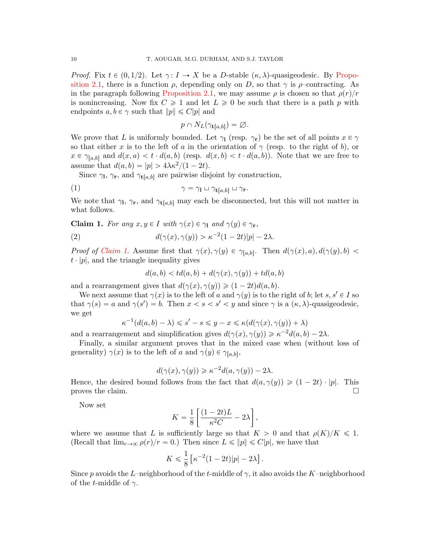*Proof.* Fix  $t \in (0, 1/2)$ . Let  $\gamma: I \to X$  be a D-stable  $(\kappa, \lambda)$ -quasigeodesic. By [Propo](#page-5-0)[sition 2.1,](#page-5-0) there is a function  $\rho$ , depending only on D, so that  $\gamma$  is  $\rho$ -contracting. As in the paragraph following [Proposition 2.1,](#page-5-0) we may assume  $\rho$  is chosen so that  $\rho(r)/r$ is nonincreasing. Now fix  $C \geq 1$  and let  $L \geq 0$  be such that there is a path p with endpoints  $a, b \in \gamma$  such that  $||p|| \leq C|p|$  and

<span id="page-9-1"></span>
$$
p \cap N_L(\gamma_{\mathbf{t}[a,b]}) = \varnothing.
$$

We prove that L is uniformly bounded. Let  $\gamma_1$  (resp.  $\gamma_r$ ) be the set of all points  $x \in \gamma$ so that either x is to the left of a in the orientation of  $\gamma$  (resp. to the right of b), or  $x \in \gamma_{[a,b]}$  and  $d(x, a) < t \cdot d(a, b)$  (resp.  $d(x, b) < t \cdot d(a, b)$ ). Note that we are free to assume that  $d(a, b) = |p| > 4\lambda \kappa^2/(1 - 2t)$ .

Since  $\gamma_1$ ,  $\gamma_r$ , and  $\gamma_{t[a,b]}$  are pairwise disjoint by construction,

(1) 
$$
\gamma = \gamma_1 \sqcup \gamma_{t[a,b]} \sqcup \gamma_r.
$$

We note that  $\gamma_1$ ,  $\gamma_r$ , and  $\gamma_{t[a,b]}$  may each be disconnected, but this will not matter in what follows.

<span id="page-9-0"></span>Claim 1. For any  $x, y \in I$  with  $\gamma(x) \in \gamma_1$  and  $\gamma(y) \in \gamma_r$ ,

(2) 
$$
d(\gamma(x), \gamma(y)) > \kappa^{-2} (1 - 2t)|p| - 2\lambda.
$$

*Proof of [Claim 1.](#page-9-0)* Assume first that  $\gamma(x), \gamma(y) \in \gamma_{[a,b]}$ . Then  $d(\gamma(x), a), d(\gamma(y), b)$  $t \cdot |p|$ , and the triangle inequality gives

<span id="page-9-2"></span>
$$
d(a,b) < td(a,b) + d(\gamma(x), \gamma(y)) + td(a,b)
$$

and a rearrangement gives that  $d(\gamma(x), \gamma(y)) \geq (1 - 2t)d(a, b)$ .

We next assume that  $\gamma(x)$  is to the left of a and  $\gamma(y)$  is to the right of b; let s, s'  $\in I$  so that  $\gamma(s) = a$  and  $\gamma(s') = b$ . Then  $x < s < s' < y$  and since  $\gamma$  is a  $(\kappa, \lambda)$ -quasigeodesic, we get

$$
\kappa^{-1}(d(a,b)-\lambda) \leqslant s'-s \leqslant y-x \leqslant \kappa(d(\gamma(x),\gamma(y))+\lambda)
$$

and a rearrangement and simplification gives  $d(\gamma(x), \gamma(y)) \geq \kappa^{-2} d(a, b) - 2\lambda$ .

Finally, a similar argument proves that in the mixed case when (without loss of generality)  $\gamma(x)$  is to the left of a and  $\gamma(y) \in \gamma_{[a,b]},$ 

$$
d(\gamma(x), \gamma(y)) \geq \kappa^{-2} d(a, \gamma(y)) - 2\lambda.
$$

Hence, the desired bound follows from the fact that  $d(a, \gamma(y)) \geq (1 - 2t) \cdot |p|$ . This proves the claim.  $\Box$ 

Now set

$$
K = \frac{1}{8} \left[ \frac{(1 - 2t)L}{\kappa^2 C} - 2\lambda \right],
$$

where we assume that L is sufficiently large so that  $K > 0$  and that  $\rho(K)/K \leq 1$ . (Recall that  $\lim_{r \to \infty} \rho(r)/r = 0$ .) Then since  $L \leq ||p|| \leq C|p|$ , we have that

$$
K \leqslant \frac{1}{8} \left[ \kappa^{-2} (1 - 2t) |p| - 2\lambda \right].
$$

Since p avoids the L–neighborhood of the t-middle of  $\gamma$ , it also avoids the K–neighborhood of the *t*-middle of  $\gamma$ .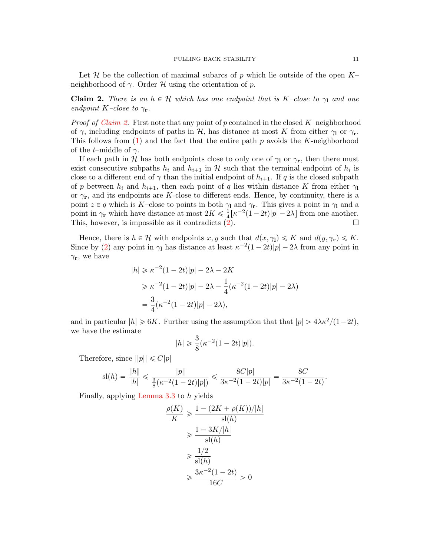Let H be the collection of maximal subarcs of p which lie outside of the open  $K$ neighborhood of  $\gamma$ . Order H using the orientation of p.

<span id="page-10-0"></span>**Claim 2.** There is an  $h \in \mathcal{H}$  which has one endpoint that is K–close to  $\gamma_1$  and one endpoint K–close to  $\gamma_{\bf r}$ .

*Proof of [Claim 2.](#page-10-0)* First note that any point of p contained in the closed  $K$ –neighborhood of  $\gamma$ , including endpoints of paths in H, has distance at most K from either  $\gamma_1$  or  $\gamma_r$ . This follows from  $(1)$  and the fact that the entire path p avoids the K-neighborhood of the *t*–middle of  $\gamma$ .

If each path in H has both endpoints close to only one of  $\gamma_1$  or  $\gamma_r$ , then there must exist consecutive subpaths  $h_i$  and  $h_{i+1}$  in H such that the terminal endpoint of  $h_i$  is close to a different end of  $\gamma$  than the initial endpoint of  $h_{i+1}$ . If q is the closed subpath of p between  $h_i$  and  $h_{i+1}$ , then each point of q lies within distance K from either  $\gamma_1$ or  $\gamma_{\mathbf{r}}$ , and its endpoints are K-close to different ends. Hence, by continuity, there is a point  $z \in q$  which is K–close to points in both  $\gamma_1$  and  $\gamma_r$ . This gives a point in  $\gamma_1$  and a point in  $\gamma_{\mathbf{r}}$  which have distance at most  $2K \leq \frac{1}{4}$  $\frac{1}{4}[\kappa^{-2}(1-2t)|p|-2\lambda]$  from one another. This, however, is impossible as it contradicts  $(2)$ .

Hence, there is  $h \in \mathcal{H}$  with endpoints  $x, y$  such that  $d(x, \gamma_1) \leq K$  and  $d(y, \gamma_r) \leq K$ . Since by [\(2\)](#page-9-2) any point in  $\gamma_1$  has distance at least  $\kappa^{-2}(1-2t)|p| - 2\lambda$  from any point in  $\gamma_{\mathbf{r}}$ , we have

$$
|h| \ge \kappa^{-2} (1 - 2t)|p| - 2\lambda - 2K
$$
  
\n
$$
\ge \kappa^{-2} (1 - 2t)|p| - 2\lambda - \frac{1}{4} (\kappa^{-2} (1 - 2t)|p| - 2\lambda)
$$
  
\n
$$
= \frac{3}{4} (\kappa^{-2} (1 - 2t)|p| - 2\lambda),
$$

and in particular  $|h| \ge 6K$ . Further using the assumption that that  $|p| > 4\lambda\kappa^2/(1-2t)$ , we have the estimate

$$
|h| \ge \frac{3}{8} (\kappa^{-2} (1 - 2t)|p|).
$$

Therefore, since  $||p|| \leq C|p|$ 

$$
sl(h) = \frac{\|h\|}{|h|} \leq \frac{\|p\|}{\frac{3}{8}(\kappa^{-2}(1-2t)|p|)} \leq \frac{8C|p|}{3\kappa^{-2}(1-2t)|p|} = \frac{8C}{3\kappa^{-2}(1-2t)}.
$$

Finally, applying [Lemma 3.3](#page-7-0) to h yields

$$
\frac{\rho(K)}{K} \ge \frac{1 - (2K + \rho(K))/|h|}{\text{s}(h)}
$$

$$
\ge \frac{1 - 3K/|h|}{\text{s}(h)}
$$

$$
\ge \frac{1/2}{\text{s}(h)}
$$

$$
\ge \frac{3\kappa^{-2}(1 - 2t)}{16C} > 0
$$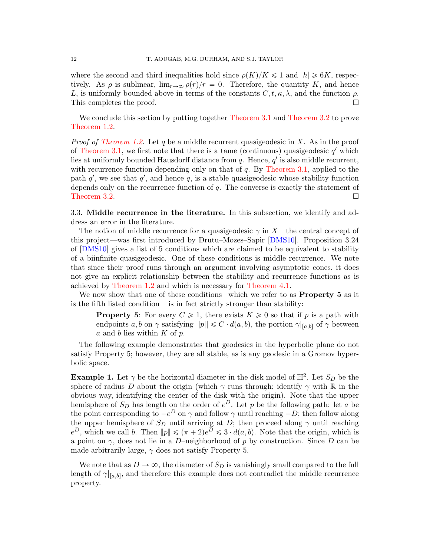where the second and third inequalities hold since  $\rho(K)/K \leq 1$  and  $|h| \geq 6K$ , respectively. As  $\rho$  is sublinear,  $\lim_{r\to\infty}\rho(r)/r=0$ . Therefore, the quantity K, and hence L, is uniformly bounded above in terms of the constants  $C, t, \kappa, \lambda$ , and the function  $\rho$ . This completes the proof.  $\Box$ 

We conclude this section by putting together [Theorem 3.1](#page-6-2) and [Theorem 3.2](#page-7-1) to prove [Theorem 1.2.](#page-1-0)

*Proof of [Theorem 1.2.](#page-1-0)* Let q be a middle recurrent quasigeodesic in X. As in the proof of [Theorem 3.1,](#page-6-2) we first note that there is a tame (continuous) quasigeodesic  $q'$  which lies at uniformly bounded Hausdorff distance from  $q$ . Hence,  $q'$  is also middle recurrent, with recurrence function depending only on that of  $q$ . By [Theorem 3.1,](#page-6-2) applied to the path  $q'$ , we see that  $q'$ , and hence q, is a stable quasigeodesic whose stability function depends only on the recurrence function of  $q$ . The converse is exactly the statement of [Theorem 3.2.](#page-7-1)

<span id="page-11-0"></span>3.3. Middle recurrence in the literature. In this subsection, we identify and address an error in the literature.

The notion of middle recurrence for a quasigeodesic  $\gamma$  in X—the central concept of this project—was first introduced by Drutu–Mozes–Sapir [\[DMS10\]](#page-19-2). Proposition 3.24 of [\[DMS10\]](#page-19-2) gives a list of 5 conditions which are claimed to be equivalent to stability of a biinfinite quasigeodesic. One of these conditions is middle recurrence. We note that since their proof runs through an argument involving asymptotic cones, it does not give an explicit relationship between the stability and recurrence functions as is achieved by [Theorem 1.2](#page-1-0) and which is necessary for [Theorem 4.1.](#page-12-0)

We now show that one of these conditions –which we refer to as **Property 5** as it is the fifth listed condition – is in fact strictly stronger than stability:

**Property 5:** For every  $C \ge 1$ , there exists  $K \ge 0$  so that if p is a path with endpoints a, b on  $\gamma$  satisfying  $||p|| \leq C \cdot d(a, b)$ , the portion  $\gamma|_{[a,b]}$  of  $\gamma$  between a and b lies within  $K$  of  $p$ .

The following example demonstrates that geodesics in the hyperbolic plane do not satisfy Property 5; however, they are all stable, as is any geodesic in a Gromov hyperbolic space.

**Example 1.** Let  $\gamma$  be the horizontal diameter in the disk model of  $\mathbb{H}^2$ . Let  $S_D$  be the sphere of radius D about the origin (which  $\gamma$  runs through; identify  $\gamma$  with R in the obvious way, identifying the center of the disk with the origin). Note that the upper hemisphere of  $S_D$  has length on the order of  $e^D$ . Let p be the following path: let a be the point corresponding to  $-e^D$  on  $\gamma$  and follow  $\gamma$  until reaching  $-D$ ; then follow along the upper hemisphere of  $S_D$  until arriving at D; then proceed along  $\gamma$  until reaching  $e^D$ , which we call b. Then  $||p|| \leq (\pi + 2)e^{D} \leq 3 \cdot d(a, b)$ . Note that the origin, which is a point on  $\gamma$ , does not lie in a D–neighborhood of p by construction. Since D can be made arbitrarily large,  $\gamma$  does not satisfy Property 5.

We note that as  $D \to \infty$ , the diameter of  $S_D$  is vanishingly small compared to the full length of  $\gamma|_{[a,b]}$ , and therefore this example does not contradict the middle recurrence property.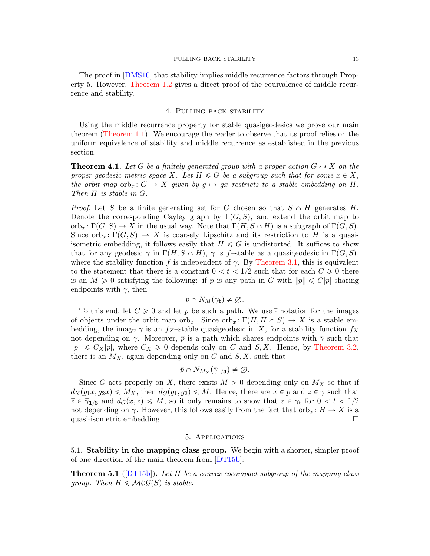The proof in [\[DMS10\]](#page-19-2) that stability implies middle recurrence factors through Property 5. However, [Theorem 1.2](#page-1-0) gives a direct proof of the equivalence of middle recurrence and stability.

# 4. Pulling back stability

<span id="page-12-2"></span>Using the middle recurrence property for stable quasigeodesics we prove our main theorem [\(Theorem 1.1\)](#page-0-0). We encourage the reader to observe that its proof relies on the uniform equivalence of stability and middle recurrence as established in the previous section.

<span id="page-12-0"></span>**Theorem 4.1.** Let G be a finitely generated group with a proper action  $G \sim X$  on the proper geodesic metric space X. Let  $H \leq G$  be a subgroup such that for some  $x \in X$ , the orbit map orb<sub>x</sub>:  $G \rightarrow X$  given by  $g \rightarrow gx$  restricts to a stable embedding on H. Then H is stable in G.

*Proof.* Let S be a finite generating set for G chosen so that  $S \cap H$  generates H. Denote the corresponding Cayley graph by  $\Gamma(G, S)$ , and extend the orbit map to orb<sub>x</sub>:  $\Gamma(G, S) \to X$  in the usual way. Note that  $\Gamma(H, S \cap H)$  is a subgraph of  $\Gamma(G, S)$ . Since  $orb_x: \Gamma(G, S) \to X$  is coarsely Lipschitz and its restriction to H is a quasiisometric embedding, it follows easily that  $H \leq G$  is undistorted. It suffices to show that for any geodesic  $\gamma$  in  $\Gamma(H, S \cap H)$ ,  $\gamma$  is f–stable as a quasigeodesic in  $\Gamma(G, S)$ , where the stability function f is independent of  $\gamma$ . By [Theorem 3.1,](#page-6-2) this is equivalent to the statement that there is a constant  $0 < t < 1/2$  such that for each  $C \ge 0$  there is an  $M \geq 0$  satisfying the following: if p is any path in G with  $||p|| \leq C|p|$  sharing endpoints with  $\gamma$ , then

$$
p \cap N_M(\gamma_{\mathbf{t}}) \neq \varnothing.
$$

To this end, let  $C \geq 0$  and let p be such a path. We use  $\overline{\cdot}$  notation for the images of objects under the orbit map  $\text{orb}_x$ . Since  $\text{orb}_x : \Gamma(H, H \cap S) \to X$  is a stable embedding, the image  $\bar{\gamma}$  is an f<sub>X</sub>–stable quasigeodesic in X, for a stability function f<sub>X</sub> not depending on  $\gamma$ . Moreover,  $\bar{p}$  is a path which shares endpoints with  $\bar{\gamma}$  such that  $\|\bar{p}\| \leq C_X|\bar{p}|$ , where  $C_X \geq 0$  depends only on C and S, X. Hence, by [Theorem 3.2,](#page-7-1) there is an  $M_X$ , again depending only on C and  $S, X$ , such that

$$
\bar{p} \cap N_{M_X}(\bar{\gamma}_{1/3}) \neq \varnothing.
$$

Since G acts properly on X, there exists  $M > 0$  depending only on  $M_X$  so that if  $d_X(g_1x, g_2x) \leq M_X$ , then  $d_G(g_1, g_2) \leq M$ . Hence, there are  $x \in p$  and  $z \in \gamma$  such that  $\overline{z} \in \overline{\gamma}_{1/3}$  and  $d_G(x, z) \leq M$ , so it only remains to show that  $z \in \gamma_t$  for  $0 < t < 1/2$ not depending on  $\gamma$ . However, this follows easily from the fact that orb<sub>x</sub>:  $H \to X$  is a quasi-isometric embedding.  $\Box$ 

## 5. Applications

<span id="page-12-4"></span><span id="page-12-3"></span>5.1. Stability in the mapping class group. We begin with a shorter, simpler proof of one direction of the main theorem from [\[DT15b\]](#page-19-7):

<span id="page-12-1"></span>**Theorem 5.1** ([\[DT15b\]](#page-19-7)). Let H be a convex cocompact subgroup of the mapping class group. Then  $H \leq \mathcal{MCG}(S)$  is stable.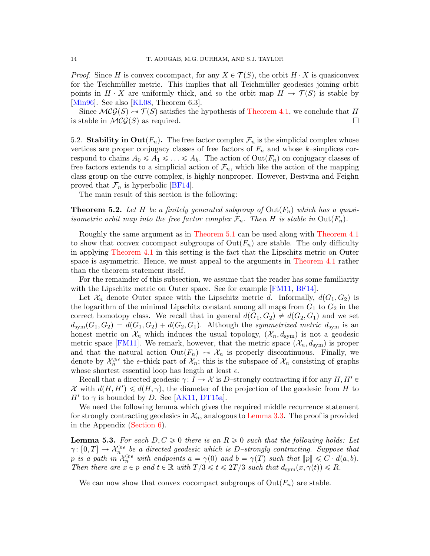*Proof.* Since H is convex cocompact, for any  $X \in \mathcal{T}(S)$ , the orbit  $H \cdot X$  is quasiconvex for the Teichmüller metric. This implies that all Teichmüller geodesics joining orbit points in  $H \cdot X$  are uniformly thick, and so the orbit map  $H \to \mathcal{T}(S)$  is stable by [\[Min96\]](#page-19-18). See also [\[KL08,](#page-19-6) Theorem 6.3].

Since  $\mathcal{MCG}(S) \to \mathcal{T}(S)$  satisfies the hypothesis of [Theorem 4.1,](#page-12-0) we conclude that H is stable in  $\mathcal{MCG}(S)$  as required.

<span id="page-13-0"></span>5.2. Stability in  $\text{Out}(F_n)$ . The free factor complex  $\mathcal{F}_n$  is the simplicial complex whose vertices are proper conjugacy classes of free factors of  $F_n$  and whose k–simplices correspond to chains  $A_0 \leq A_1 \leq \ldots \leq A_k$ . The action of  $Out(F_n)$  on conjugacy classes of free factors extends to a simplicial action of  $\mathcal{F}_n$ , which like the action of the mapping class group on the curve complex, is highly nonproper. However, Bestvina and Feighn proved that  $\mathcal{F}_n$  is hyperbolic [\[BF14\]](#page-18-5).

The main result of this section is the following:

<span id="page-13-1"></span>**Theorem 5.2.** Let H be a finitely generated subgroup of  $Out(F_n)$  which has a quasiisometric orbit map into the free factor complex  $\mathcal{F}_n$ . Then H is stable in Out $(F_n)$ .

Roughly the same argument as in [Theorem 5.1](#page-12-1) can be used along with [Theorem 4.1](#page-12-0) to show that convex cocompact subgroups of  $Out(F_n)$  are stable. The only difficulty in applying [Theorem 4.1](#page-12-0) in this setting is the fact that the Lipschitz metric on Outer space is asymmetric. Hence, we must appeal to the arguments in [Theorem 4.1](#page-12-0) rather than the theorem statement itself.

For the remainder of this subsection, we assume that the reader has some familiarity with the Lipschitz metric on Outer space. See for example [\[FM11,](#page-19-19) [BF14\]](#page-18-5).

Let  $\mathcal{X}_n$  denote Outer space with the Lipschitz metric d. Informally,  $d(G_1, G_2)$  is the logarithm of the minimal Lipschitz constant among all maps from  $G_1$  to  $G_2$  in the correct homotopy class. We recall that in general  $d(G_1, G_2) \neq d(G_2, G_1)$  and we set  $d_{sym}(G_1, G_2) = d(G_1, G_2) + d(G_2, G_1)$ . Although the symmetrized metric  $d_{sym}$  is an honest metric on  $\mathcal{X}_n$  which induces the usual topology,  $(\mathcal{X}_n, d_{\text{sym}})$  is not a geodesic metric space [\[FM11\]](#page-19-19). We remark, however, that the metric space  $(\mathcal{X}_n, d_{\text{sym}})$  is proper and that the natural action  $Out(F_n) \to \mathcal{X}_n$  is properly discontinuous. Finally, we denote by  $\mathcal{X}_n^{\geqslant\epsilon}$  the  $\epsilon$ -thick part of  $\mathcal{X}_n$ ; this is the subspace of  $\mathcal{X}_n$  consisting of graphs whose shortest essential loop has length at least  $\epsilon$ .

Recall that a directed geodesic  $\gamma: I \to \mathcal{X}$  is D–strongly contracting if for any  $H, H' \in$ X with  $d(H, H') \le d(H, \gamma)$ , the diameter of the projection of the geodesic from H to  $H'$  to  $\gamma$  is bounded by D. See [\[AK11,](#page-18-6) [DT15a\]](#page-19-10).

We need the following lemma which gives the required middle recurrence statement for strongly contracting geodesics in  $\mathcal{X}_n$ , analogous to [Lemma 3.3.](#page-7-0) The proof is provided in the Appendix [\(Section 6\)](#page-17-0).

**Lemma 5.3.** For each  $D, C \geq 0$  there is an  $R \geq 0$  such that the following holds: Let  $\gamma: [0, T] \to \mathcal{X}_n^{\geqslant \epsilon}$  be a directed geodesic which is D-strongly contracting. Suppose that p is a path in  $\mathcal{X}_n^{\geqslant \epsilon}$  with endpoints  $a = \gamma(0)$  and  $b = \gamma(T)$  such that  $||p|| \leqslant C \cdot d(a, b)$ . Then there are  $x \in p$  and  $t \in \mathbb{R}$  with  $T/3 \leq t \leq 2T/3$  such that  $d_{\text{sym}}(x, \gamma(t)) \leq R$ .

We can now show that convex cocompact subgroups of  $Out(F_n)$  are stable.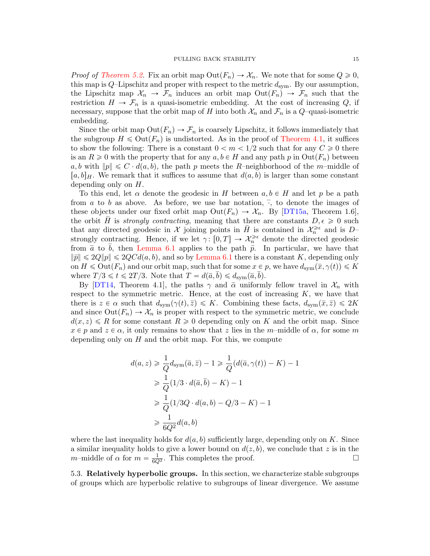*Proof of [Theorem 5.2.](#page-13-1)* Fix an orbit map  $Out(F_n) \to \mathcal{X}_n$ . We note that for some  $Q \geq 0$ , this map is  $Q$ -Lipschitz and proper with respect to the metric  $d_{sym}$ . By our assumption, the Lipschitz map  $\mathcal{X}_n \to \mathcal{F}_n$  induces an orbit map  $Out(F_n) \to \mathcal{F}_n$  such that the restriction  $H \to \mathcal{F}_n$  is a quasi-isometric embedding. At the cost of increasing Q, if necessary, suppose that the orbit map of H into both  $\mathcal{X}_n$  and  $\mathcal{F}_n$  is a  $Q$ -quasi-isometric embedding.

Since the orbit map  $Out(F_n) \to \mathcal{F}_n$  is coarsely Lipschitz, it follows immediately that the subgroup  $H \leq \text{Out}(F_n)$  is undistorted. As in the proof of [Theorem 4.1,](#page-12-0) it suffices to show the following: There is a constant  $0 < m < 1/2$  such that for any  $C \ge 0$  there is an  $R \geq 0$  with the property that for any  $a, b \in H$  and any path p in  $Out(F_n)$  between a, b with  $||p|| \leq C \cdot d(a, b)$ , the path p meets the R–neighborhood of the m–middle of  $[a, b]_H$ . We remark that it suffices to assume that  $d(a, b)$  is larger than some constant depending only on H.

To this end, let  $\alpha$  denote the geodesic in H between  $a, b \in H$  and let p be a path from a to b as above. As before, we use bar notation,  $\overline{\cdot}$ , to denote the images of these objects under our fixed orbit map  $Out(F_n) \to \mathcal{X}_n$ . By [\[DT15a,](#page-19-10) Theorem 1.6], the orbit H is strongly contracting, meaning that there are constants  $D, \epsilon \geq 0$  such that any directed geodesic in  $\mathcal X$  joining points in  $\overline{H}$  is contained in  $\mathcal X_n^{\geqslant \varepsilon}$  and is  $D$ strongly contracting. Hence, if we let  $\gamma: [0, T] \to \mathcal{X}_n^{\geq \epsilon}$  denote the directed geodesic from  $\bar{a}$  to  $\bar{b}$ , then [Lemma 6.1](#page-17-1) applies to the path  $\bar{p}$ . In particular, we have that  $\|\bar{p}\| \leqslant 2Q\|p\| \leqslant 2QCd(a, b)$ , and so by [Lemma 6.1](#page-17-1) there is a constant K, depending only on  $H \leq \text{Out}(F_n)$  and our orbit map, such that for some  $x \in p$ , we have  $d_{sym}(\bar{x}, \gamma(t)) \leq K$ where  $T/3 \leq t \leq 2T/3$ . Note that  $T = d(\bar{a},b) \leq d_{sym}(\bar{a},b)$ .

By [\[DT14,](#page-19-9) Theorem 4.1], the paths  $\gamma$  and  $\bar{\alpha}$  uniformly fellow travel in  $\mathcal{X}_n$  with respect to the symmetric metric. Hence, at the cost of increasing  $K$ , we have that there is  $z \in \alpha$  such that  $d_{\text{sym}}(\gamma(t), \bar{z}) \leq K$ . Combining these facts,  $d_{\text{sym}}(\bar{x}, \bar{z}) \leq 2K$ and since  $Out(F_n) \to \mathcal{X}_n$  is proper with respect to the symmetric metric, we conclude  $d(x, z) \le R$  for some constant  $R \ge 0$  depending only on K and the orbit map. Since  $x \in p$  and  $z \in \alpha$ , it only remains to show that z lies in the m-middle of  $\alpha$ , for some m depending only on  $H$  and the orbit map. For this, we compute

$$
d(a, z) \geq \frac{1}{Q} d_{\text{sym}}(\overline{a}, \overline{z}) - 1 \geq \frac{1}{Q} (d(\overline{a}, \gamma(t)) - K) - 1
$$
  
\n
$$
\geq \frac{1}{Q} (1/3 \cdot d(\overline{a}, \overline{b}) - K) - 1
$$
  
\n
$$
\geq \frac{1}{Q} (1/3Q \cdot d(a, b) - Q/3 - K) - 1
$$
  
\n
$$
\geq \frac{1}{6Q^2} d(a, b)
$$

where the last inequality holds for  $d(a, b)$  sufficiently large, depending only on K. Since a similar inequality holds to give a lower bound on  $d(z, b)$ , we conclude that z is in the m–middle of  $\alpha$  for  $m = \frac{1}{6Q^2}$ . This completes the proof.

<span id="page-14-0"></span>5.3. Relatively hyperbolic groups. In this section, we characterize stable subgroups of groups which are hyperbolic relative to subgroups of linear divergence. We assume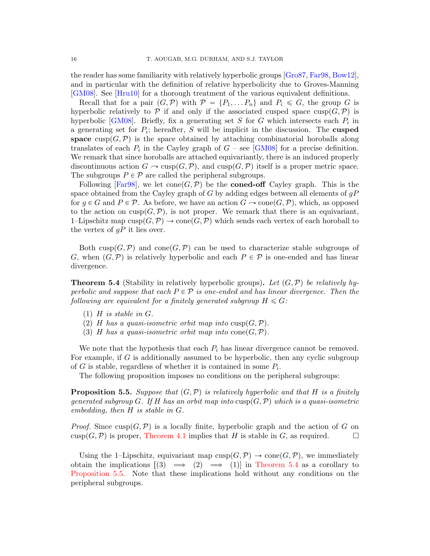the reader has some familiarity with relatively hyperbolic groups [\[Gro87,](#page-19-0) [Far98,](#page-19-20) [Bow12\]](#page-19-21), and in particular with the definition of relative hyperbolicity due to Groves-Manning [\[GM08\]](#page-19-12). See [\[Hru10\]](#page-19-22) for a thorough treatment of the various equivalent definitions.

Recall that for a pair  $(G, \mathcal{P})$  with  $\mathcal{P} = \{P_1, \ldots P_n\}$  and  $P_i \leq G$ , the group G is hyperbolic relatively to  $P$  if and only if the associated cusped space cusp $(G, P)$  is hyperbolic [\[GM08\]](#page-19-12). Briefly, fix a generating set S for G which intersects each  $P_i$  in a generating set for  $P_i$ ; hereafter, S will be implicit in the discussion. The cusped space cusp $(G,\mathcal{P})$  is the space obtained by attaching combinatorial horoballs along translates of each  $P_i$  in the Cayley graph of  $G$  – see [\[GM08\]](#page-19-12) for a precise definition. We remark that since horoballs are attached equivariantly, there is an induced properly discontinuous action  $G \to \text{cusp}(G,\mathcal{P})$ , and  $\text{cusp}(G,\mathcal{P})$  itself is a proper metric space. The subgroups  $P \in \mathcal{P}$  are called the peripheral subgroups.

Following [\[Far98\]](#page-19-20), we let  $cone(G, \mathcal{P})$  be the **coned-off** Cayley graph. This is the space obtained from the Cayley graph of G by adding edges between all elements of  $gP$ for  $g \in G$  and  $P \in \mathcal{P}$ . As before, we have an action  $G \sim \text{cone}(G, \mathcal{P})$ , which, as opposed to the action on  $cusp(G,\mathcal{P})$ , is not proper. We remark that there is an equivariant, 1–Lipschitz map  $cusp(G,\mathcal{P})\to cone(G,\mathcal{P})$  which sends each vertex of each horoball to the vertex of  $qP$  it lies over.

Both cusp $(G,\mathcal{P})$  and cone  $(G,\mathcal{P})$  can be used to characterize stable subgroups of G, when  $(G,\mathcal{P})$  is relatively hyperbolic and each  $P \in \mathcal{P}$  is one-ended and has linear divergence.

<span id="page-15-1"></span>**Theorem 5.4** (Stability in relatively hyperbolic groups). Let  $(G, \mathcal{P})$  be relatively hyperbolic and suppose that each  $P \in \mathcal{P}$  is one-ended and has linear divergence. Then the following are equivalent for a finitely generated subgroup  $H \leq G$ :

- $(1)$  H is stable in G.
- (2) H has a quasi-isometric orbit map into  $cusp(G,\mathcal{P})$ .
- (3) H has a quasi-isometric orbit map into cone  $(G, \mathcal{P})$ .

We note that the hypothesis that each  $P_i$  has linear divergence cannot be removed. For example, if G is additionally assumed to be hyperbolic, then any cyclic subgroup of G is stable, regardless of whether it is contained in some  $P_i$ .

The following proposition imposes no conditions on the peripheral subgroups:

<span id="page-15-0"></span>**Proposition 5.5.** Suppose that  $(G, P)$  is relatively hyperbolic and that H is a finitely generated subgroup G. If H has an orbit map into  $cusp(G, \mathcal{P})$  which is a quasi-isometric embedding, then H is stable in G.

*Proof.* Since  $cusp(G, \mathcal{P})$  is a locally finite, hyperbolic graph and the action of G on  $cusp(G,\mathcal{P})$  is proper, [Theorem 4.1](#page-12-0) implies that H is stable in G, as required.  $\square$ 

Using the 1–Lipschitz, equivariant map  $cusp(G,\mathcal{P})\to cone(G,\mathcal{P})$ , we immediately obtain the implications  $\begin{bmatrix} 3 \end{bmatrix} \implies \begin{bmatrix} 2 \end{bmatrix} \implies \begin{bmatrix} 1 \end{bmatrix}$  in [Theorem 5.4](#page-15-1) as a corollary to [Proposition 5.5.](#page-15-0) Note that these implications hold without any conditions on the peripheral subgroups.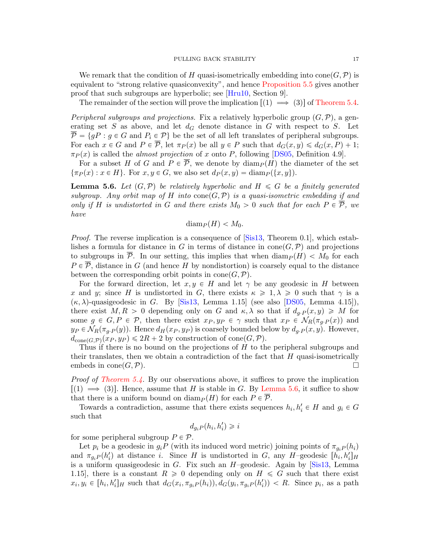We remark that the condition of H quasi-isometrically embedding into cone  $(G, \mathcal{P})$  is equivalent to "strong relative quasiconvexity", and hence [Proposition 5.5](#page-15-0) gives another proof that such subgroups are hyperbolic; see [\[Hru10,](#page-19-22) Section 9].

The remainder of the section will prove the implication  $\lfloor(1) \implies 3\rfloor$  of [Theorem 5.4.](#page-15-1)

*Peripheral subgroups and projections.* Fix a relatively hyperbolic group  $(G, \mathcal{P})$ , a generating set  $S$  as above, and let  $d_G$  denote distance in  $G$  with respect to  $S$ . Let  $\overline{\mathcal{P}} = \{gP : g \in G \text{ and } P_i \in \mathcal{P}\}\$ be the set of all left translates of peripheral subgroups. For each  $x \in G$  and  $P \in \overline{P}$ , let  $\pi_P(x)$  be all  $y \in P$  such that  $d_G(x, y) \leq d_G(x, P) + 1$ ;  $\pi_P(x)$  is called the *almost projection* of x onto P, following [\[DS05,](#page-19-23) Definition 4.9].

For a subset H of G and  $P \in \overline{P}$ , we denote by  $\text{diam}_P(H)$  the diameter of the set  $\{\pi_P(x) : x \in H\}$ . For  $x, y \in G$ , we also set  $d_P(x, y) = \text{diam}_P(\{x, y\}).$ 

<span id="page-16-0"></span>**Lemma 5.6.** Let  $(G, \mathcal{P})$  be relatively hyperbolic and  $H \leq G$  be a finitely generated subgroup. Any orbit map of H into cone  $(G, \mathcal{P})$  is a quasi-isometric embedding if and only if H is undistorted in G and there exists  $M_0 > 0$  such that for each  $P \in \overline{P}$ , we have

$$
\text{diam}_P(H) < M_0.
$$

Proof. The reverse implication is a consequence of [\[Sis13,](#page-19-24) Theorem 0.1], which establishes a formula for distance in G in terms of distance in  $cone(G, \mathcal{P})$  and projections to subgroups in  $\overline{P}$ . In our setting, this implies that when  $\text{diam}_P(H) < M_0$  for each  $P \in \overline{\mathcal{P}}$ , distance in G (and hence H by nondistortion) is coarsely equal to the distance between the corresponding orbit points in  $cone(G, \mathcal{P})$ .

For the forward direction, let  $x, y \in H$  and let  $\gamma$  be any geodesic in H between x and y; since H is undistorted in G, there exists  $\kappa \geq 1, \lambda \geq 0$  such that  $\gamma$  is a  $(\kappa, \lambda)$ -quasigeodesic in G. By [\[Sis13,](#page-19-24) Lemma 1.15] (see also [\[DS05,](#page-19-23) Lemma 4.15]), there exist  $M, R > 0$  depending only on G and  $\kappa, \lambda$  so that if  $d_g \cdot P(x, y) \geq M$  for some  $g \in G, P \in \mathcal{P}$ , then there exist  $x_P, y_P \in \gamma$  such that  $x_P \in \mathcal{N}_R(\pi_{q \cdot P}(x))$  and  $y_P \in \mathcal{N}_R(\pi_g \cdot P(y))$ . Hence  $d_H(x_P, y_P)$  is coarsely bounded below by  $d_g \cdot P(x, y)$ . However,  $d_{cone(G, \mathcal{P})}(x_P, y_P) \leq 2R + 2$  by construction of cone $(G, \mathcal{P})$ .

Thus if there is no bound on the projections of H to the peripheral subgroups and their translates, then we obtain a contradiction of the fact that  $H$  quasi-isometrically embeds in  $cone(G, \mathcal{P})$ .

Proof of [Theorem 5.4.](#page-15-1) By our observations above, it suffices to prove the implication  $\lbrack (1) \Rightarrow (3) \rbrack$ . Hence, assume that H is stable in G. By [Lemma 5.6,](#page-16-0) it suffice to show that there is a uniform bound on diam  $P(H)$  for each  $P \in \overline{P}$ .

Towards a contradiction, assume that there exists sequences  $h_i, h'_i \in H$  and  $g_i \in G$ such that

$$
d_{g_i}P(h_i, h'_i) \geq i
$$

for some peripheral subgroup  $P \in \mathcal{P}$ .

Let  $p_i$  be a geodesic in  $g_iP$  (with its induced word metric) joining points of  $\pi_{q_iP}(h_i)$ and  $\pi_{g_i}P(h'_i)$  at distance i. Since H is undistorted in G, any H-geodesic  $[h_i, h'_i]_H$ is a uniform quasigeodesic in  $G$ . Fix such an  $H$ -geodesic. Again by [\[Sis13,](#page-19-24) Lemma 1.15], there is a constant  $R \geq 0$  depending only on  $H \leq G$  such that there exist  $x_i, y_i \in [h_i, h'_i]_H$  such that  $d_G(x_i, \pi_{g_i} P(h_i)), d_G(y_i, \pi_{g_i} P(h'_i)) < R$ . Since  $p_i$ , as a path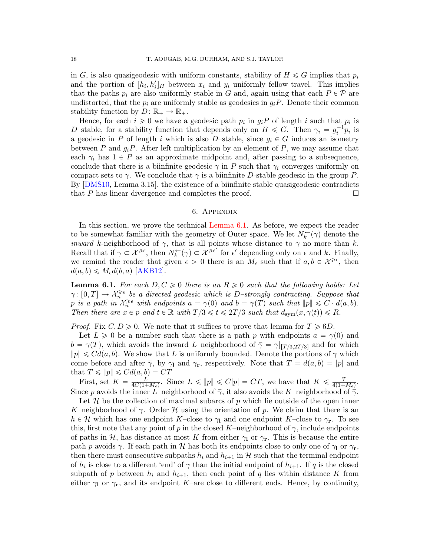in G, is also quasigeodesic with uniform constants, stability of  $H \leq G$  implies that  $p_i$ and the portion of  $[h_i, h'_i]_H$  between  $x_i$  and  $y_i$  uniformly fellow travel. This implies that the paths  $p_i$  are also uniformly stable in G and, again using that each  $P \in \mathcal{P}$  are undistorted, that the  $p_i$  are uniformly stable as geodesics in  $g_iP$ . Denote their common stability function by  $D: \mathbb{R}_+ \to \mathbb{R}_+$ .

Hence, for each  $i \geq 0$  we have a geodesic path  $p_i$  in  $g_i P$  of length i such that  $p_i$  is D-stable, for a stability function that depends only on  $H \leq G$ . Then  $\gamma_i = g_i^{-1} p_i$  is a geodesic in P of length i which is also D–stable, since  $g_i \in G$  induces an isometry between P and  $g_iP$ . After left multiplication by an element of P, we may assume that each  $\gamma_i$  has  $1 \in P$  as an approximate midpoint and, after passing to a subsequence, conclude that there is a biinfinite geodesic  $\gamma$  in P such that  $\gamma_i$  converges uniformly on compact sets to  $\gamma$ . We conclude that  $\gamma$  is a biinfinite D-stable geodesic in the group P. By [\[DMS10,](#page-19-2) Lemma 3.15], the existence of a biinfinite stable quasigeodesic contradicts that P has linear divergence and completes the proof.  $\Box$ 

#### 6. Appendix

<span id="page-17-0"></span>In this section, we prove the technical [Lemma 6.1.](#page-17-1) As before, we expect the reader to be somewhat familiar with the geometry of Outer space. We let  $N_k^{\leftarrow}(\gamma)$  denote the *inward k*-neighborhood of  $\gamma$ , that is all points whose distance to  $\gamma$  no more than k. Recall that if  $\gamma \subset \mathcal{X}^{\geq \epsilon}$ , then  $N_k^{\leftarrow}(\gamma) \subset \mathcal{X}^{\geq \epsilon'}$  for  $\epsilon'$  depending only on  $\epsilon$  and  $k$ . Finally, we remind the reader that given  $\epsilon > 0$  there is an  $M_{\epsilon}$  such that if  $a, b \in \mathcal{X}^{\geq \epsilon}$ , then  $d(a, b) \leq M_{\epsilon} d(b, a)$  [\[AKB12\]](#page-18-7).

<span id="page-17-1"></span>**Lemma 6.1.** For each  $D, C \geq 0$  there is an  $R \geq 0$  such that the following holds: Let  $\gamma: [0, T] \to \mathcal{X}_n^{\geqslant \epsilon}$  be a directed geodesic which is D-strongly contracting. Suppose that p is a path in  $\mathcal{X}_n^{\geqslant \epsilon}$  with endpoints  $a = \gamma(0)$  and  $b = \gamma(T)$  such that  $||p|| \leqslant C \cdot d(a, b)$ . Then there are  $x \in p$  and  $t \in \mathbb{R}$  with  $T/3 \leq t \leq 2T/3$  such that  $d_{sym}(x, \gamma(t)) \leq R$ .

*Proof.* Fix  $C, D \ge 0$ . We note that it suffices to prove that lemma for  $T \ge 6D$ .

Let  $L \geq 0$  be a number such that there is a path p with endpoints  $a = \gamma(0)$  and  $b = \gamma(T)$ , which avoids the inward L–neighborhood of  $\overline{\gamma} = \gamma |_{[T/3,2T/3]}$  and for which  $\|p\| \leq C d(a, b)$ . We show that L is uniformly bounded. Denote the portions of  $\gamma$  which come before and after  $\bar{\gamma}$ , by  $\gamma_1$  and  $\gamma_r$ , respectively. Note that  $T = d(a, b) = |p|$  and that  $T \leqslant ||p|| \leqslant C d(a, b) = CT$ 

First, set  $K = \frac{L}{4C(1+1)}$  $\frac{L}{4C(1+M_{\epsilon})}$ . Since  $L \leqslant ||p|| \leqslant C|p| = CT$ , we have that  $K \leqslant \frac{T}{4(1+M_{\epsilon})}$ .  $\frac{T}{4(1+M_{\epsilon})}$ . Since p avoids the inner L–neighborhood of  $\bar{\gamma}$ , it also avoids the K–neighborhood of  $\bar{\gamma}$ .

Let  $\mathcal H$  be the collection of maximal subarcs of p which lie outside of the open inner K–neighborhood of  $\gamma$ . Order H using the orientation of p. We claim that there is an  $h \in \mathcal{H}$  which has one endpoint K–close to  $\gamma_1$  and one endpoint K–close to  $\gamma_r$ . To see this, first note that any point of p in the closed K–neighborhood of  $\gamma$ , include endpoints of paths in H, has distance at most K from either  $\gamma_1$  or  $\gamma_r$ . This is because the entire path p avoids  $\bar{\gamma}$ . If each path in H has both its endpoints close to only one of  $\gamma_1$  or  $\gamma_r$ , then there must consecutive subpaths  $h_i$  and  $h_{i+1}$  in H such that the terminal endpoint of  $h_i$  is close to a different 'end' of  $\gamma$  than the initial endpoint of  $h_{i+1}$ . If q is the closed subpath of p between  $h_i$  and  $h_{i+1}$ , then each point of q lies within distance K from either  $\gamma_1$  or  $\gamma_r$ , and its endpoint K–are close to different ends. Hence, by continuity,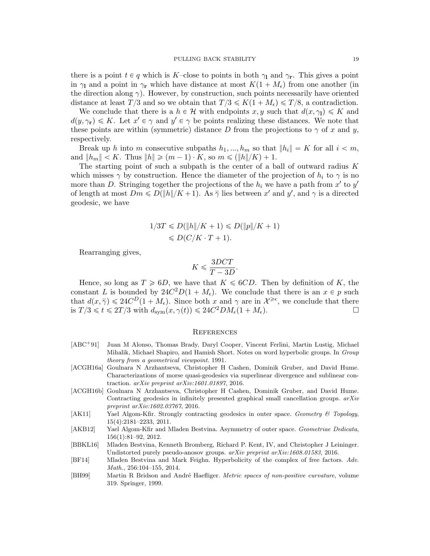there is a point  $t \in q$  which is K–close to points in both  $\gamma_1$  and  $\gamma_r$ . This gives a point in  $\gamma_1$  and a point in  $\gamma_r$  which have distance at most  $K(1 + M_{\epsilon})$  from one another (in the direction along  $\gamma$ ). However, by construction, such points necessarily have oriented distance at least  $T/3$  and so we obtain that  $T/3 \leq K(1 + M_{\epsilon}) \leq T/8$ , a contradiction.

We conclude that there is a  $h \in \mathcal{H}$  with endpoints x, y such that  $d(x, \gamma) \leq K$  and  $d(y, \gamma_{\mathbf{r}}) \leq K$ . Let  $x' \in \gamma$  and  $y' \in \gamma$  be points realizing these distances. We note that these points are within (symmetric) distance D from the projections to  $\gamma$  of x and y, respectively.

Break up h into m consecutive subpaths  $h_1, ..., h_m$  so that  $||h_i|| = K$  for all  $i < m$ , and  $||h_m|| < K$ . Thus  $||h|| \geq (m-1) \cdot K$ , so  $m \leq (||h||/K) + 1$ .

The starting point of such a subpath is the center of a ball of outward radius  $K$ which misses  $\gamma$  by construction. Hence the diameter of the projection of  $h_i$  to  $\gamma$  is no more than D. Stringing together the projections of the  $h_i$  we have a path from  $x'$  to  $y'$ of length at most  $Dm \le D(\|h\|/K + 1)$ . As  $\bar{\gamma}$  lies between x' and y', and  $\gamma$  is a directed geodesic, we have

$$
1/3T \le D(\|h\|/K+1) \le D(\|p\|/K+1)
$$
  

$$
\le D(C/K \cdot T + 1).
$$

Rearranging gives,

$$
K \leqslant \frac{3DCT}{T - 3D}.
$$

Hence, so long as  $T \ge 6D$ , we have that  $K \le 6CD$ . Then by definition of K, the constant L is bounded by  $24C^2D(1 + M_{\epsilon})$ . We conclude that there is an  $x \in p$  such that  $d(x, \overline{\gamma}) \leq 24C^D(1 + M_{\epsilon})$ . Since both x and  $\gamma$  are in  $\mathcal{X}^{\geq \epsilon}$ , we conclude that there is  $T/3 \leq t \leq 2T/3$  with  $d_{sym}(x, \gamma(t)) \leq 24C^2DM_{\epsilon}(1 + M_{\epsilon}).$ 

#### **REFERENCES**

- <span id="page-18-0"></span>[ABC<sup>+</sup>91] Juan M Alonso, Thomas Brady, Daryl Cooper, Vincent Ferlini, Martin Lustig, Michael Mihalik, Michael Shapiro, and Hamish Short. Notes on word hyperbolic groups. In Group theory from a geometrical viewpoint. 1991.
- <span id="page-18-1"></span>[ACGH16a] Goulnara N Arzhantseva, Christopher H Cashen, Dominik Gruber, and David Hume. Characterizations of morse quasi-geodesics via superlinear divergence and sublinear contraction. arXiv preprint arXiv:1601.01897, 2016.
- <span id="page-18-3"></span>[ACGH16b] Goulnara N Arzhantseva, Christopher H Cashen, Dominik Gruber, and David Hume. Contracting geodesics in infinitely presented graphical small cancellation groups.  $arXiv$ preprint arXiv:1602.03767, 2016.
- <span id="page-18-6"></span>[AK11] Yael Algom-Kfir. Strongly contracting geodesics in outer space. Geometry & Topology, 15(4):2181–2233, 2011.
- <span id="page-18-7"></span>[AKB12] Yael Algom-Kfir and Mladen Bestvina. Asymmetry of outer space. Geometriae Dedicata, 156(1):81–92, 2012.
- <span id="page-18-2"></span>[BBKL16] Mladen Bestvina, Kenneth Bromberg, Richard P. Kent, IV, and Christopher J Leininger. Undistorted purely pseudo-anosov groups. arXiv preprint arXiv:1608.01583, 2016.
- <span id="page-18-5"></span>[BF14] Mladen Bestvina and Mark Feighn. Hyperbolicity of the complex of free factors. Adv. Math., 256:104–155, 2014.
- <span id="page-18-4"></span>[BH99] Martin R Bridson and André Haefliger. Metric spaces of non-positive curvature, volume 319. Springer, 1999.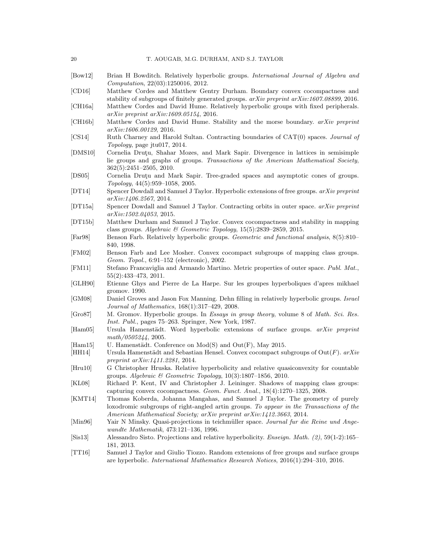- <span id="page-19-21"></span>[Bow12] Brian H Bowditch. Relatively hyperbolic groups. International Journal of Algebra and Computation, 22(03):1250016, 2012.
- <span id="page-19-16"></span>[CD16] Matthew Cordes and Matthew Gentry Durham. Boundary convex cocompactness and stability of subgroups of finitely generated groups. arXiv preprint arXiv:1607.08899, 2016.
- <span id="page-19-17"></span>[CH16a] Matthew Cordes and David Hume. Relatively hyperbolic groups with fixed peripherals. arXiv preprint arXiv:1609.05154, 2016.
- <span id="page-19-15"></span>[CH16b] Matthew Cordes and David Hume. Stability and the morse boundary. arXiv preprint arXiv:1606.00129, 2016.
- <span id="page-19-3"></span>[CS14] Ruth Charney and Harold Sultan. Contracting boundaries of CAT(0) spaces. Journal of Topology, page jtu017, 2014.
- <span id="page-19-2"></span>[DMS10] Cornelia Drutu, Shahar Mozes, and Mark Sapir. Divergence in lattices in semisimple lie groups and graphs of groups. Transactions of the American Mathematical Society, 362(5):2451–2505, 2010.
- <span id="page-19-23"></span>[DS05] Cornelia Drutu and Mark Sapir. Tree-graded spaces and asymptotic cones of groups. Topology, 44(5):959–1058, 2005.
- <span id="page-19-9"></span>[DT14] Spencer Dowdall and Samuel J Taylor. Hyperbolic extensions of free groups. arXiv preprint arXiv:1406.2567, 2014.
- <span id="page-19-10"></span>[DT15a] Spencer Dowdall and Samuel J Taylor. Contracting orbits in outer space. arXiv preprint arXiv:1502.04053, 2015.
- <span id="page-19-7"></span>[DT15b] Matthew Durham and Samuel J Taylor. Convex cocompactness and stability in mapping class groups. Algebraic & Geometric Topology,  $15(5)$ :2839-2859, 2015.
- <span id="page-19-20"></span>[Far98] Benson Farb. Relatively hyperbolic groups. Geometric and functional analysis, 8(5):810– 840, 1998.
- <span id="page-19-4"></span>[FM02] Benson Farb and Lee Mosher. Convex cocompact subgroups of mapping class groups. Geom. Topol., 6:91–152 (electronic), 2002.
- <span id="page-19-19"></span>[FM11] Stefano Francaviglia and Armando Martino. Metric properties of outer space. Publ. Mat., 55(2):433–473, 2011.
- <span id="page-19-1"></span>[GLH90] Etienne Ghys and Pierre de La Harpe. Sur les groupes hyperboliques d'apres mikhael gromov. 1990.
- <span id="page-19-12"></span>[GM08] Daniel Groves and Jason Fox Manning. Dehn filling in relatively hyperbolic groups. Israel Journal of Mathematics, 168(1):317–429, 2008.
- <span id="page-19-0"></span>[Gro87] M. Gromov. Hyperbolic groups. In Essays in group theory, volume 8 of Math. Sci. Res. Inst. Publ., pages 75–263. Springer, New York, 1987.
- <span id="page-19-5"></span> $[Ham05]$  Ursula Hamenstädt. Word hyperbolic extensions of surface groups.  $arXiv$  preprint math/0505244, 2005.
- <span id="page-19-11"></span> $[Ham15]$  U. Hamenstädt. Conference on  $Mod(S)$  and  $Out(F)$ , May 2015.
- <span id="page-19-8"></span>[HH14] Ursula Hamenstädt and Sebastian Hensel. Convex cocompact subgroups of  $Out(F)$ . arXiv preprint arXiv:1411.2281, 2014.
- <span id="page-19-22"></span>[Hru10] G Christopher Hruska. Relative hyperbolicity and relative quasiconvexity for countable groups. Algebraic & Geometric Topology,  $10(3):1807-1856$ , 2010.
- <span id="page-19-6"></span>[KL08] Richard P. Kent, IV and Christopher J. Leininger. Shadows of mapping class groups: capturing convex cocompactness. Geom. Funct. Anal., 18(4):1270–1325, 2008.
- <span id="page-19-14"></span>[KMT14] Thomas Koberda, Johanna Mangahas, and Samuel J Taylor. The geometry of purely loxodromic subgroups of right-angled artin groups. To appear in the Transactions of the American Mathematical Society; arXiv preprint arXiv:1412.3663, 2014.
- <span id="page-19-18"></span>[Min96] Yair N Minsky. Quasi-projections in teichmüller space. Journal fur die Reine und Angewandte Mathematik, 473:121–136, 1996.
- <span id="page-19-24"></span>[Sis13] Alessandro Sisto. Projections and relative hyperbolicity. Enseign. Math. (2), 59(1-2):165– 181, 2013.
- <span id="page-19-13"></span>[TT16] Samuel J Taylor and Giulio Tiozzo. Random extensions of free groups and surface groups are hyperbolic. International Mathematics Research Notices, 2016(1):294–310, 2016.